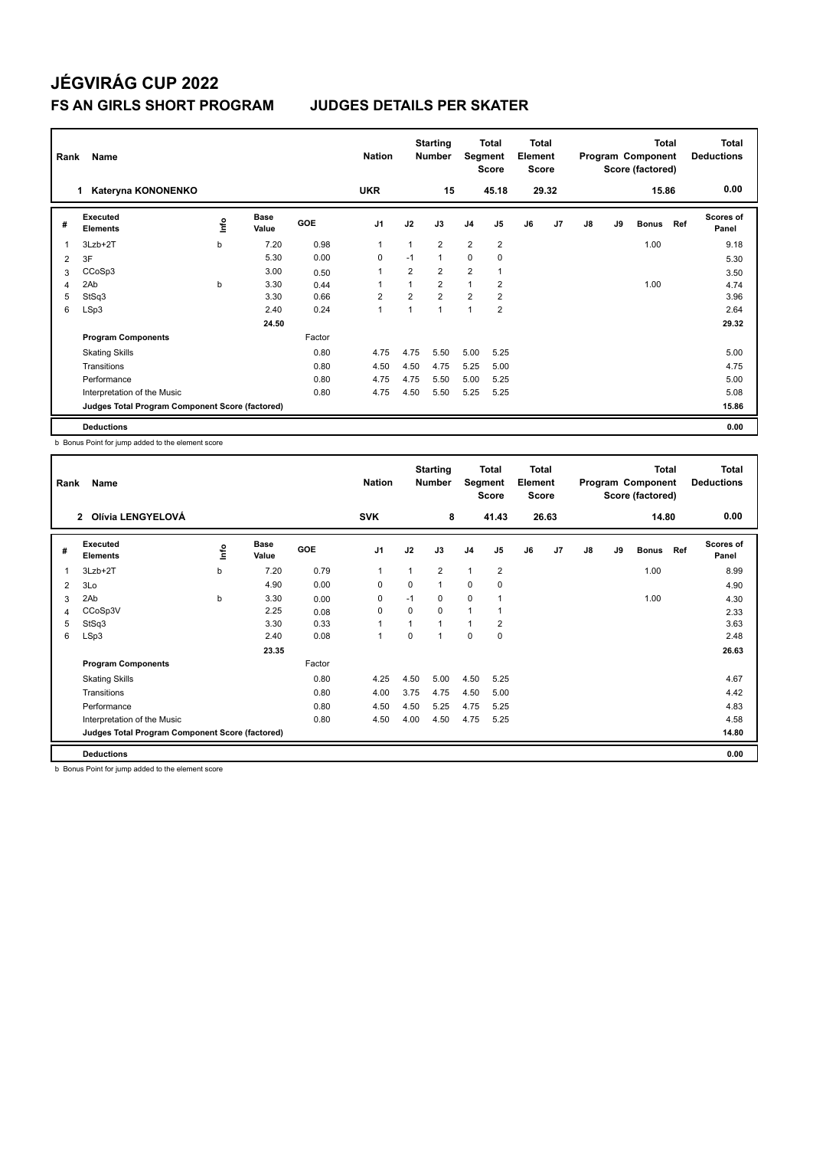| Rank | Name                                            |             | <b>Nation</b>        |        | <b>Starting</b><br><b>Number</b> | Segment        | Total<br><b>Score</b> | <b>Total</b><br>Element<br><b>Score</b> |                |    |       | <b>Total</b><br>Program Component<br>Score (factored) |    | <b>Total</b><br><b>Deductions</b> |     |                    |
|------|-------------------------------------------------|-------------|----------------------|--------|----------------------------------|----------------|-----------------------|-----------------------------------------|----------------|----|-------|-------------------------------------------------------|----|-----------------------------------|-----|--------------------|
|      | Kateryna KONONENKO<br>1.                        |             |                      |        | <b>UKR</b>                       |                | 15                    |                                         | 45.18          |    | 29.32 |                                                       |    | 15.86                             |     | 0.00               |
| #    | Executed<br><b>Elements</b>                     | <u>lnfo</u> | <b>Base</b><br>Value | GOE    | J <sub>1</sub>                   | J2             | J3                    | J <sub>4</sub>                          | J <sub>5</sub> | J6 | J7    | J8                                                    | J9 | <b>Bonus</b>                      | Ref | Scores of<br>Panel |
| 1    | $3Lzb+2T$                                       | b           | 7.20                 | 0.98   | $\mathbf{1}$                     | 1              | $\overline{2}$        | $\overline{2}$                          | $\overline{2}$ |    |       |                                                       |    | 1.00                              |     | 9.18               |
| 2    | 3F                                              |             | 5.30                 | 0.00   | 0                                | $-1$           | $\mathbf{1}$          | 0                                       | $\mathbf 0$    |    |       |                                                       |    |                                   |     | 5.30               |
| 3    | CCoSp3                                          |             | 3.00                 | 0.50   | 1                                | $\overline{2}$ | $\overline{2}$        | $\overline{2}$                          |                |    |       |                                                       |    |                                   |     | 3.50               |
| 4    | 2Ab                                             | b           | 3.30                 | 0.44   |                                  |                | $\overline{2}$        | $\overline{1}$                          | $\overline{2}$ |    |       |                                                       |    | 1.00                              |     | 4.74               |
| 5    | StSq3                                           |             | 3.30                 | 0.66   | $\overline{2}$                   | $\overline{2}$ | $\overline{2}$        | $\overline{2}$                          | 2              |    |       |                                                       |    |                                   |     | 3.96               |
| 6    | LSp3                                            |             | 2.40                 | 0.24   | $\mathbf{1}$                     |                | $\mathbf{1}$          | 1                                       | $\overline{2}$ |    |       |                                                       |    |                                   |     | 2.64               |
|      |                                                 |             | 24.50                |        |                                  |                |                       |                                         |                |    |       |                                                       |    |                                   |     | 29.32              |
|      | <b>Program Components</b>                       |             |                      | Factor |                                  |                |                       |                                         |                |    |       |                                                       |    |                                   |     |                    |
|      | <b>Skating Skills</b>                           |             |                      | 0.80   | 4.75                             | 4.75           | 5.50                  | 5.00                                    | 5.25           |    |       |                                                       |    |                                   |     | 5.00               |
|      | Transitions                                     |             |                      | 0.80   | 4.50                             | 4.50           | 4.75                  | 5.25                                    | 5.00           |    |       |                                                       |    |                                   |     | 4.75               |
|      | Performance                                     |             |                      | 0.80   | 4.75                             | 4.75           | 5.50                  | 5.00                                    | 5.25           |    |       |                                                       |    |                                   |     | 5.00               |
|      | Interpretation of the Music                     |             |                      | 0.80   | 4.75                             | 4.50           | 5.50                  | 5.25                                    | 5.25           |    |       |                                                       |    |                                   |     | 5.08               |
|      | Judges Total Program Component Score (factored) |             |                      |        |                                  |                |                       |                                         |                |    |       |                                                       |    |                                   |     | 15.86              |
|      | <b>Deductions</b>                               |             |                      |        |                                  |                |                       |                                         |                |    |       |                                                       |    |                                   |     | 0.00               |

b Bonus Point for jump added to the element score

| Rank | Name                                            |   | <b>Nation</b> |        | <b>Starting</b><br><b>Number</b> | Segment  | Total<br><b>Score</b> | <b>Total</b><br>Element<br><b>Score</b> |                |    |       | <b>Total</b><br>Program Component<br>Score (factored) |    | <b>Total</b><br><b>Deductions</b> |     |                    |
|------|-------------------------------------------------|---|---------------|--------|----------------------------------|----------|-----------------------|-----------------------------------------|----------------|----|-------|-------------------------------------------------------|----|-----------------------------------|-----|--------------------|
|      | Olívia LENGYELOVÁ<br>$\mathbf{2}$               |   |               |        | <b>SVK</b>                       |          | 8                     |                                         | 41.43          |    | 26.63 |                                                       |    | 14.80                             |     | 0.00               |
| #    | Executed<br><b>Elements</b>                     | e | Base<br>Value | GOE    | J <sub>1</sub>                   | J2       | J3                    | J <sub>4</sub>                          | J <sub>5</sub> | J6 | J7    | J8                                                    | J9 | <b>Bonus</b>                      | Ref | Scores of<br>Panel |
| 1    | 3Lzb+2T                                         | b | 7.20          | 0.79   | $\overline{1}$                   | 1        | $\overline{2}$        | $\mathbf{1}$                            | $\overline{2}$ |    |       |                                                       |    | 1.00                              |     | 8.99               |
| 2    | 3Lo                                             |   | 4.90          | 0.00   | 0                                | $\Omega$ | 1                     | $\Omega$                                | 0              |    |       |                                                       |    |                                   |     | 4.90               |
| 3    | 2Ab                                             | b | 3.30          | 0.00   | $\mathbf 0$                      | $-1$     | $\Omega$              | $\mathbf 0$                             |                |    |       |                                                       |    | 1.00                              |     | 4.30               |
| 4    | CCoSp3V                                         |   | 2.25          | 0.08   | 0                                | 0        | 0                     | 1                                       |                |    |       |                                                       |    |                                   |     | 2.33               |
| 5    | StSq3                                           |   | 3.30          | 0.33   |                                  | 1        | 1                     | 1                                       | 2              |    |       |                                                       |    |                                   |     | 3.63               |
| 6    | LSp3                                            |   | 2.40          | 0.08   | $\mathbf{1}$                     | 0        | 1                     | $\mathbf 0$                             | 0              |    |       |                                                       |    |                                   |     | 2.48               |
|      |                                                 |   | 23.35         |        |                                  |          |                       |                                         |                |    |       |                                                       |    |                                   |     | 26.63              |
|      | <b>Program Components</b>                       |   |               | Factor |                                  |          |                       |                                         |                |    |       |                                                       |    |                                   |     |                    |
|      | <b>Skating Skills</b>                           |   |               | 0.80   | 4.25                             | 4.50     | 5.00                  | 4.50                                    | 5.25           |    |       |                                                       |    |                                   |     | 4.67               |
|      | Transitions                                     |   |               | 0.80   | 4.00                             | 3.75     | 4.75                  | 4.50                                    | 5.00           |    |       |                                                       |    |                                   |     | 4.42               |
|      | Performance                                     |   |               | 0.80   | 4.50                             | 4.50     | 5.25                  | 4.75                                    | 5.25           |    |       |                                                       |    |                                   |     | 4.83               |
|      | Interpretation of the Music                     |   |               | 0.80   | 4.50                             | 4.00     | 4.50                  | 4.75                                    | 5.25           |    |       |                                                       |    |                                   |     | 4.58               |
|      | Judges Total Program Component Score (factored) |   |               |        |                                  |          |                       |                                         |                |    |       |                                                       |    |                                   |     | 14.80              |
|      | <b>Deductions</b>                               |   |               |        |                                  |          |                       |                                         |                |    |       |                                                       |    |                                   |     | 0.00               |

b Bonus Point for jump added to the element score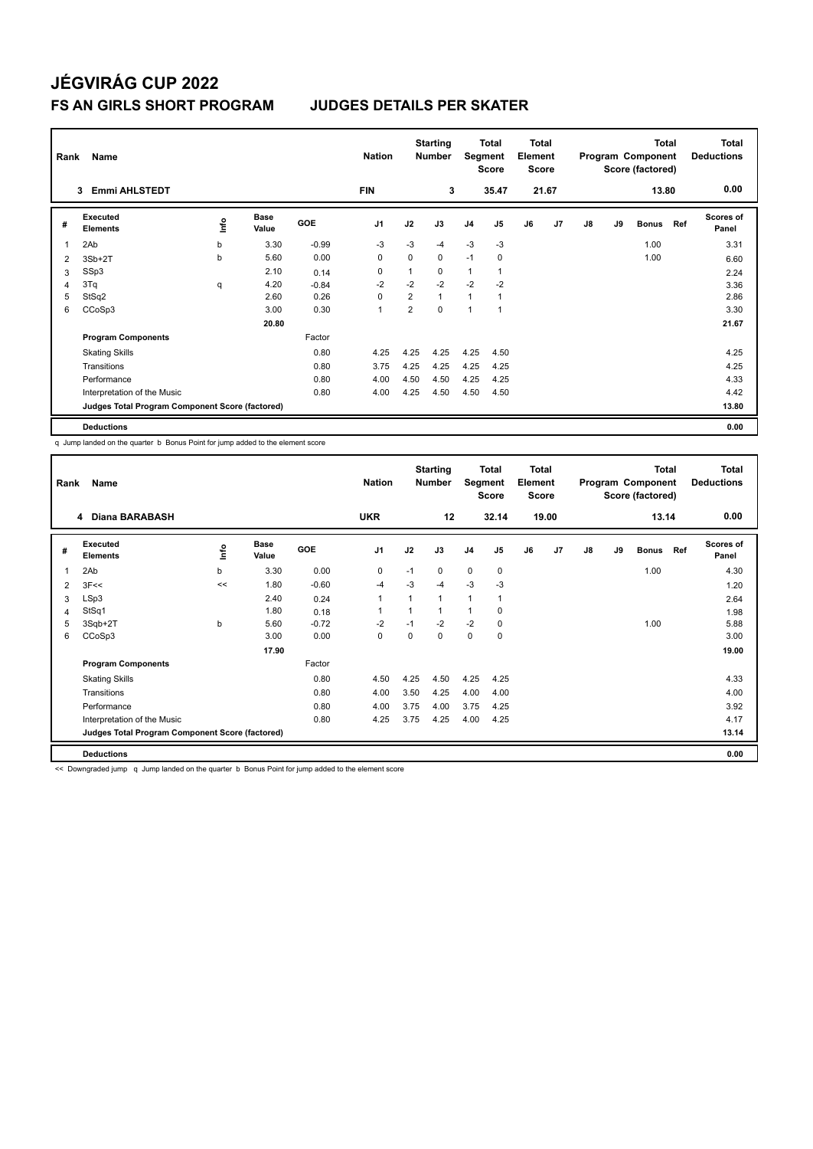| Rank           | Name                                            |      |                      |            |                |                | <b>Starting</b><br><b>Number</b> | Segment        | <b>Total</b><br><b>Score</b> | <b>Total</b><br>Element<br><b>Score</b> |       |    |    | <b>Total</b><br>Program Component<br>Score (factored) |     | <b>Total</b><br><b>Deductions</b> |
|----------------|-------------------------------------------------|------|----------------------|------------|----------------|----------------|----------------------------------|----------------|------------------------------|-----------------------------------------|-------|----|----|-------------------------------------------------------|-----|-----------------------------------|
|                | <b>Emmi AHLSTEDT</b><br>3                       |      |                      |            | <b>FIN</b>     |                | 3                                |                | 35.47                        |                                         | 21.67 |    |    | 13.80                                                 |     | 0.00                              |
| #              | Executed<br><b>Elements</b>                     | ١nf٥ | <b>Base</b><br>Value | <b>GOE</b> | J <sub>1</sub> | J2             | J3                               | J <sub>4</sub> | J5                           | J6                                      | J7    | J8 | J9 | <b>Bonus</b>                                          | Ref | <b>Scores of</b><br>Panel         |
| 1              | 2Ab                                             | b    | 3.30                 | $-0.99$    | -3             | $-3$           | $-4$                             | $-3$           | $-3$                         |                                         |       |    |    | 1.00                                                  |     | 3.31                              |
| 2              | $3Sb+2T$                                        | b    | 5.60                 | 0.00       | $\mathbf 0$    | 0              | 0                                | $-1$           | 0                            |                                         |       |    |    | 1.00                                                  |     | 6.60                              |
| 3              | SSp3                                            |      | 2.10                 | 0.14       | 0              |                | $\Omega$                         | $\mathbf{1}$   |                              |                                         |       |    |    |                                                       |     | 2.24                              |
| $\overline{4}$ | 3Tq                                             | q    | 4.20                 | $-0.84$    | $-2$           | $-2$           | $-2$                             | $-2$           | $-2$                         |                                         |       |    |    |                                                       |     | 3.36                              |
| 5              | StSq2                                           |      | 2.60                 | 0.26       | $\mathbf 0$    | $\overline{2}$ | $\mathbf{1}$                     | $\overline{1}$ |                              |                                         |       |    |    |                                                       |     | 2.86                              |
| 6              | CCoSp3                                          |      | 3.00                 | 0.30       | $\mathbf{1}$   | $\overline{2}$ | $\Omega$                         | 1              |                              |                                         |       |    |    |                                                       |     | 3.30                              |
|                |                                                 |      | 20.80                |            |                |                |                                  |                |                              |                                         |       |    |    |                                                       |     | 21.67                             |
|                | <b>Program Components</b>                       |      |                      | Factor     |                |                |                                  |                |                              |                                         |       |    |    |                                                       |     |                                   |
|                | <b>Skating Skills</b>                           |      |                      | 0.80       | 4.25           | 4.25           | 4.25                             | 4.25           | 4.50                         |                                         |       |    |    |                                                       |     | 4.25                              |
|                | Transitions                                     |      |                      | 0.80       | 3.75           | 4.25           | 4.25                             | 4.25           | 4.25                         |                                         |       |    |    |                                                       |     | 4.25                              |
|                | Performance                                     |      |                      | 0.80       | 4.00           | 4.50           | 4.50                             | 4.25           | 4.25                         |                                         |       |    |    |                                                       |     | 4.33                              |
|                | Interpretation of the Music                     |      |                      | 0.80       | 4.00           | 4.25           | 4.50                             | 4.50           | 4.50                         |                                         |       |    |    |                                                       |     | 4.42                              |
|                | Judges Total Program Component Score (factored) |      |                      |            |                |                |                                  |                |                              |                                         |       |    |    |                                                       |     | 13.80                             |
|                | <b>Deductions</b>                               |      |                      |            |                |                |                                  |                |                              |                                         |       |    |    |                                                       |     | 0.00                              |

q Jump landed on the quarter b Bonus Point for jump added to the element score

| Rank | Name                                            |      | <b>Nation</b>        |         | <b>Starting</b><br><b>Number</b> | Segment | Total<br><b>Score</b> | <b>Total</b><br>Element<br>Score |                |    |                | <b>Total</b><br>Program Component<br>Score (factored) |    | <b>Total</b><br><b>Deductions</b> |     |                           |
|------|-------------------------------------------------|------|----------------------|---------|----------------------------------|---------|-----------------------|----------------------------------|----------------|----|----------------|-------------------------------------------------------|----|-----------------------------------|-----|---------------------------|
|      | <b>Diana BARABASH</b><br>4                      |      |                      |         | <b>UKR</b>                       |         | 12                    |                                  | 32.14          |    | 19.00          |                                                       |    | 13.14                             |     | 0.00                      |
| #    | Executed<br><b>Elements</b>                     | ١nf٥ | <b>Base</b><br>Value | GOE     | J <sub>1</sub>                   | J2      | J3                    | J <sub>4</sub>                   | J <sub>5</sub> | J6 | J <sub>7</sub> | J8                                                    | J9 | <b>Bonus</b>                      | Ref | <b>Scores of</b><br>Panel |
| 1    | 2Ab                                             | b    | 3.30                 | 0.00    | 0                                | $-1$    | 0                     | $\mathbf 0$                      | 0              |    |                |                                                       |    | 1.00                              |     | 4.30                      |
| 2    | 3F<<                                            | <<   | 1.80                 | $-0.60$ | -4                               | -3      | $-4$                  | $-3$                             | -3             |    |                |                                                       |    |                                   |     | 1.20                      |
| 3    | LSp3                                            |      | 2.40                 | 0.24    | $\overline{1}$                   | 1       | 1                     | $\mathbf{1}$                     | $\overline{1}$ |    |                |                                                       |    |                                   |     | 2.64                      |
| 4    | StSq1                                           |      | 1.80                 | 0.18    |                                  | 1       | 1                     | 1                                | 0              |    |                |                                                       |    |                                   |     | 1.98                      |
| 5    | 3Sqb+2T                                         | b    | 5.60                 | $-0.72$ | $-2$                             | $-1$    | $-2$                  | $-2$                             | 0              |    |                |                                                       |    | 1.00                              |     | 5.88                      |
| 6    | CCoSp3                                          |      | 3.00                 | 0.00    | 0                                | 0       | 0                     | 0                                | 0              |    |                |                                                       |    |                                   |     | 3.00                      |
|      |                                                 |      | 17.90                |         |                                  |         |                       |                                  |                |    |                |                                                       |    |                                   |     | 19.00                     |
|      | <b>Program Components</b>                       |      |                      | Factor  |                                  |         |                       |                                  |                |    |                |                                                       |    |                                   |     |                           |
|      | <b>Skating Skills</b>                           |      |                      | 0.80    | 4.50                             | 4.25    | 4.50                  | 4.25                             | 4.25           |    |                |                                                       |    |                                   |     | 4.33                      |
|      | Transitions                                     |      |                      | 0.80    | 4.00                             | 3.50    | 4.25                  | 4.00                             | 4.00           |    |                |                                                       |    |                                   |     | 4.00                      |
|      | Performance                                     |      |                      | 0.80    | 4.00                             | 3.75    | 4.00                  | 3.75                             | 4.25           |    |                |                                                       |    |                                   |     | 3.92                      |
|      | Interpretation of the Music                     |      |                      | 0.80    | 4.25                             | 3.75    | 4.25                  | 4.00                             | 4.25           |    |                |                                                       |    |                                   |     | 4.17                      |
|      | Judges Total Program Component Score (factored) |      |                      |         |                                  |         |                       |                                  |                |    |                |                                                       |    |                                   |     | 13.14                     |
|      | <b>Deductions</b>                               |      |                      |         |                                  |         |                       |                                  |                |    |                |                                                       |    |                                   |     | 0.00                      |

<< Downgraded jump q Jump landed on the quarter b Bonus Point for jump added to the element score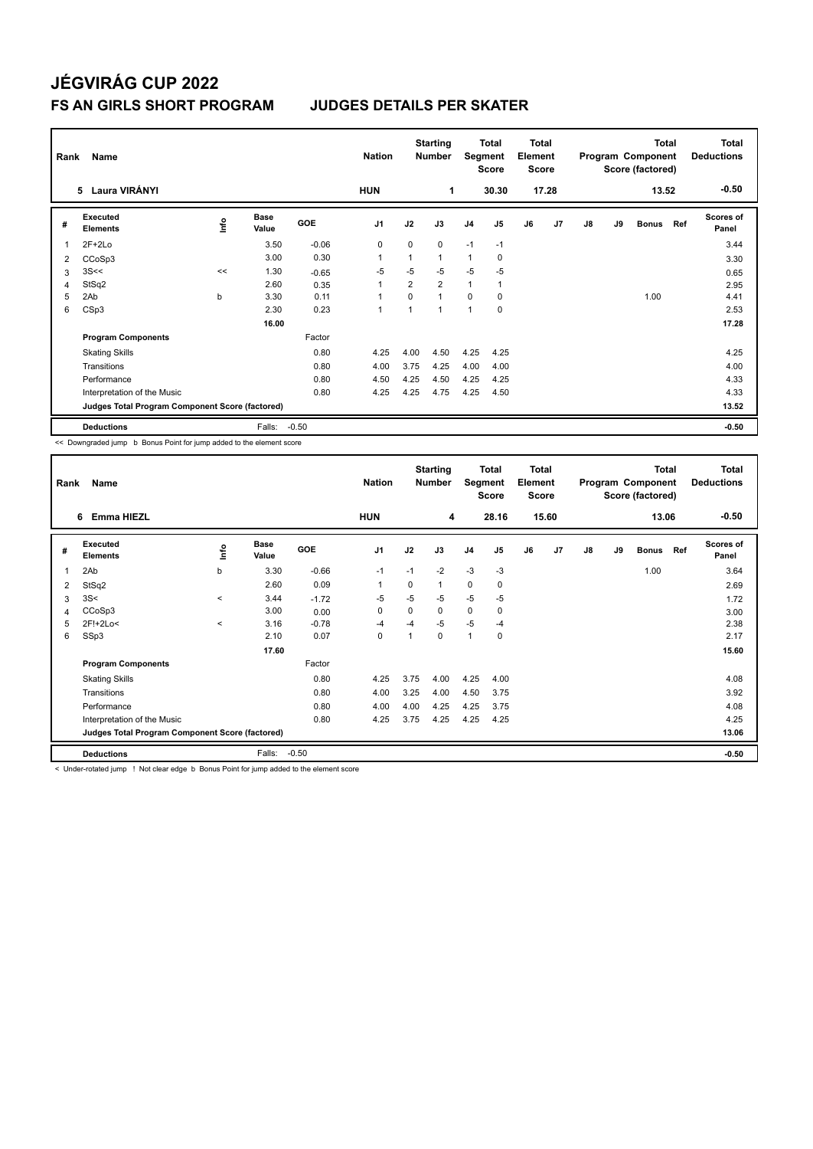| Rank | Name                                            |    | <b>Nation</b>        |            | <b>Starting</b><br><b>Number</b> | Segment  | Total<br><b>Score</b> | <b>Total</b><br>Element<br><b>Score</b> |                |    |                | <b>Total</b><br>Program Component<br>Score (factored) |    | <b>Total</b><br><b>Deductions</b> |     |                           |
|------|-------------------------------------------------|----|----------------------|------------|----------------------------------|----------|-----------------------|-----------------------------------------|----------------|----|----------------|-------------------------------------------------------|----|-----------------------------------|-----|---------------------------|
|      | 5 Laura VIRÁNYI                                 |    |                      |            | <b>HUN</b>                       |          | 1                     |                                         | 30.30          |    | 17.28          |                                                       |    | 13.52                             |     | $-0.50$                   |
| #    | Executed<br><b>Elements</b>                     | ۴ů | <b>Base</b><br>Value | <b>GOE</b> | J <sub>1</sub>                   | J2       | J3                    | J <sub>4</sub>                          | J <sub>5</sub> | J6 | J <sub>7</sub> | J8                                                    | J9 | <b>Bonus</b>                      | Ref | <b>Scores of</b><br>Panel |
| 1    | $2F+2Lo$                                        |    | 3.50                 | $-0.06$    | 0                                | 0        | 0                     | $-1$                                    | $-1$           |    |                |                                                       |    |                                   |     | 3.44                      |
| 2    | CCoSp3                                          |    | 3.00                 | 0.30       |                                  | 1        | 1                     | $\mathbf{1}$                            | 0              |    |                |                                                       |    |                                   |     | 3.30                      |
| 3    | 3S<<                                            | << | 1.30                 | $-0.65$    | $-5$                             | $-5$     | $-5$                  | $-5$                                    | -5             |    |                |                                                       |    |                                   |     | 0.65                      |
| 4    | StSq2                                           |    | 2.60                 | 0.35       | $\mathbf{1}$                     | 2        | $\overline{2}$        | $\mathbf{1}$                            | $\mathbf{1}$   |    |                |                                                       |    |                                   |     | 2.95                      |
| 5    | 2Ab                                             | b  | 3.30                 | 0.11       |                                  | $\Omega$ | $\overline{1}$        | $\Omega$                                | 0              |    |                |                                                       |    | 1.00                              |     | 4.41                      |
| 6    | CSp3                                            |    | 2.30                 | 0.23       | $\overline{1}$                   | 1        | 1                     | 1                                       | 0              |    |                |                                                       |    |                                   |     | 2.53                      |
|      |                                                 |    | 16.00                |            |                                  |          |                       |                                         |                |    |                |                                                       |    |                                   |     | 17.28                     |
|      | <b>Program Components</b>                       |    |                      | Factor     |                                  |          |                       |                                         |                |    |                |                                                       |    |                                   |     |                           |
|      | <b>Skating Skills</b>                           |    |                      | 0.80       | 4.25                             | 4.00     | 4.50                  | 4.25                                    | 4.25           |    |                |                                                       |    |                                   |     | 4.25                      |
|      | Transitions                                     |    |                      | 0.80       | 4.00                             | 3.75     | 4.25                  | 4.00                                    | 4.00           |    |                |                                                       |    |                                   |     | 4.00                      |
|      | Performance                                     |    |                      | 0.80       | 4.50                             | 4.25     | 4.50                  | 4.25                                    | 4.25           |    |                |                                                       |    |                                   |     | 4.33                      |
|      | Interpretation of the Music                     |    |                      | 0.80       | 4.25                             | 4.25     | 4.75                  | 4.25                                    | 4.50           |    |                |                                                       |    |                                   |     | 4.33                      |
|      | Judges Total Program Component Score (factored) |    |                      |            |                                  |          |                       |                                         |                |    |                |                                                       |    |                                   |     | 13.52                     |
|      | <b>Deductions</b>                               |    | Falls:               | $-0.50$    |                                  |          |                       |                                         |                |    |                |                                                       |    |                                   |     | $-0.50$                   |

<< Downgraded jump b Bonus Point for jump added to the element score

| Rank           | Name                                            |         |                      |         | <b>Nation</b>  |          | <b>Starting</b><br><b>Number</b> | Segment        | Total<br><b>Score</b> | <b>Total</b><br>Element<br><b>Score</b> |                |    |    | Total<br>Program Component<br>Score (factored) |     | Total<br><b>Deductions</b> |
|----------------|-------------------------------------------------|---------|----------------------|---------|----------------|----------|----------------------------------|----------------|-----------------------|-----------------------------------------|----------------|----|----|------------------------------------------------|-----|----------------------------|
|                | <b>Emma HIEZL</b><br>6                          |         |                      |         | <b>HUN</b>     |          | 4                                |                | 28.16                 |                                         | 15.60          |    |    | 13.06                                          |     | $-0.50$                    |
| #              | Executed<br><b>Elements</b>                     | ۴d      | <b>Base</b><br>Value | GOE     | J <sub>1</sub> | J2       | J3                               | J <sub>4</sub> | J <sub>5</sub>        | J6                                      | J <sub>7</sub> | J8 | J9 | <b>Bonus</b>                                   | Ref | Scores of<br>Panel         |
| $\overline{1}$ | 2Ab                                             | b       | 3.30                 | $-0.66$ | $-1$           | $-1$     | $-2$                             | $-3$           | $-3$                  |                                         |                |    |    | 1.00                                           |     | 3.64                       |
| 2              | StSq2                                           |         | 2.60                 | 0.09    | -1             | $\Omega$ | 1                                | 0              | 0                     |                                         |                |    |    |                                                |     | 2.69                       |
| 3              | 3S<                                             | $\prec$ | 3.44                 | $-1.72$ | $-5$           | $-5$     | $-5$                             | $-5$           | $-5$                  |                                         |                |    |    |                                                |     | 1.72                       |
| 4              | CCoSp3                                          |         | 3.00                 | 0.00    | 0              | 0        | 0                                | 0              | 0                     |                                         |                |    |    |                                                |     | 3.00                       |
| 5              | 2F!+2Lo<                                        | $\,<$   | 3.16                 | $-0.78$ | -4             | $-4$     | $-5$                             | $-5$           | -4                    |                                         |                |    |    |                                                |     | 2.38                       |
| 6              | SSp3                                            |         | 2.10                 | 0.07    | $\mathbf 0$    | 1        | 0                                | $\mathbf{1}$   | 0                     |                                         |                |    |    |                                                |     | 2.17                       |
|                |                                                 |         | 17.60                |         |                |          |                                  |                |                       |                                         |                |    |    |                                                |     | 15.60                      |
|                | <b>Program Components</b>                       |         |                      | Factor  |                |          |                                  |                |                       |                                         |                |    |    |                                                |     |                            |
|                | <b>Skating Skills</b>                           |         |                      | 0.80    | 4.25           | 3.75     | 4.00                             | 4.25           | 4.00                  |                                         |                |    |    |                                                |     | 4.08                       |
|                | Transitions                                     |         |                      | 0.80    | 4.00           | 3.25     | 4.00                             | 4.50           | 3.75                  |                                         |                |    |    |                                                |     | 3.92                       |
|                | Performance                                     |         |                      | 0.80    | 4.00           | 4.00     | 4.25                             | 4.25           | 3.75                  |                                         |                |    |    |                                                |     | 4.08                       |
|                | Interpretation of the Music                     |         |                      | 0.80    | 4.25           | 3.75     | 4.25                             | 4.25           | 4.25                  |                                         |                |    |    |                                                |     | 4.25                       |
|                | Judges Total Program Component Score (factored) |         |                      |         |                |          |                                  |                |                       |                                         |                |    |    |                                                |     | 13.06                      |
|                | <b>Deductions</b>                               |         | Falls:               | $-0.50$ |                |          |                                  |                |                       |                                         |                |    |    |                                                |     | $-0.50$                    |

< Under-rotated jump ! Not clear edge b Bonus Point for jump added to the element score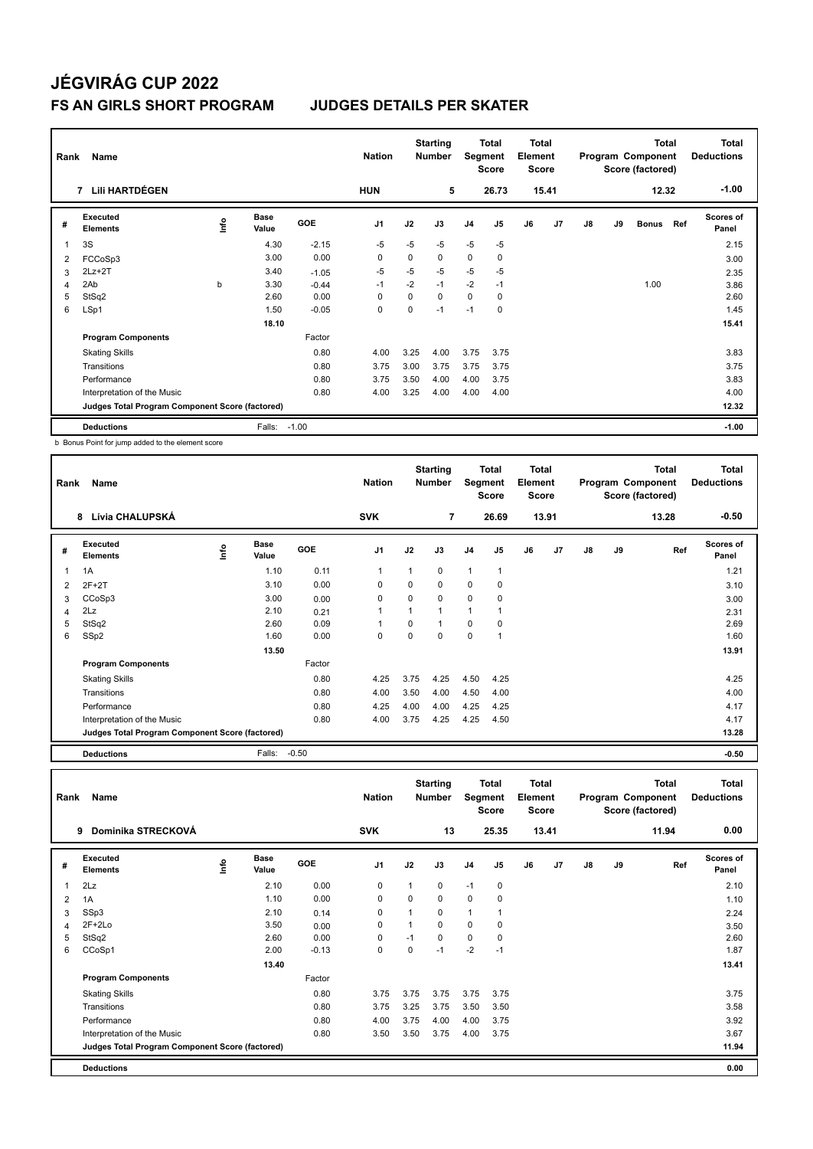| Rank                    | Name                                            |      | <b>Nation</b>        |         | <b>Starting</b><br><b>Number</b> | Segment  | Total<br><b>Score</b> | Total<br>Element<br><b>Score</b> |                |    |                | <b>Total</b><br>Program Component<br>Score (factored) |    | <b>Total</b><br><b>Deductions</b> |     |                           |
|-------------------------|-------------------------------------------------|------|----------------------|---------|----------------------------------|----------|-----------------------|----------------------------------|----------------|----|----------------|-------------------------------------------------------|----|-----------------------------------|-----|---------------------------|
|                         | LIII HARTDÉGEN<br>7                             |      |                      |         | <b>HUN</b>                       |          | 5                     |                                  | 26.73          |    | 15.41          |                                                       |    | 12.32                             |     | $-1.00$                   |
| #                       | Executed<br><b>Elements</b>                     | ١nf٥ | <b>Base</b><br>Value | GOE     | J <sub>1</sub>                   | J2       | J3                    | J <sub>4</sub>                   | J <sub>5</sub> | J6 | J <sub>7</sub> | J8                                                    | J9 | <b>Bonus</b>                      | Ref | <b>Scores of</b><br>Panel |
| $\overline{\mathbf{1}}$ | 3S                                              |      | 4.30                 | $-2.15$ | -5                               | $-5$     | $-5$                  | $-5$                             | -5             |    |                |                                                       |    |                                   |     | 2.15                      |
| 2                       | FCCoSp3                                         |      | 3.00                 | 0.00    | 0                                | 0        | 0                     | $\mathbf 0$                      | 0              |    |                |                                                       |    |                                   |     | 3.00                      |
| 3                       | $2Lz + 2T$                                      |      | 3.40                 | $-1.05$ | $-5$                             | $-5$     | $-5$                  | $-5$                             | $-5$           |    |                |                                                       |    |                                   |     | 2.35                      |
| 4                       | 2Ab                                             | b    | 3.30                 | $-0.44$ | $-1$                             | $-2$     | $-1$                  | $-2$                             | $-1$           |    |                |                                                       |    | 1.00                              |     | 3.86                      |
| 5                       | StSq2                                           |      | 2.60                 | 0.00    | 0                                | 0        | 0                     | $\mathbf 0$                      | 0              |    |                |                                                       |    |                                   |     | 2.60                      |
| 6                       | LSp1                                            |      | 1.50                 | $-0.05$ | 0                                | $\Omega$ | $-1$                  | $-1$                             | $\Omega$       |    |                |                                                       |    |                                   |     | 1.45                      |
|                         |                                                 |      | 18.10                |         |                                  |          |                       |                                  |                |    |                |                                                       |    |                                   |     | 15.41                     |
|                         | <b>Program Components</b>                       |      |                      | Factor  |                                  |          |                       |                                  |                |    |                |                                                       |    |                                   |     |                           |
|                         | <b>Skating Skills</b>                           |      |                      | 0.80    | 4.00                             | 3.25     | 4.00                  | 3.75                             | 3.75           |    |                |                                                       |    |                                   |     | 3.83                      |
|                         | Transitions                                     |      |                      | 0.80    | 3.75                             | 3.00     | 3.75                  | 3.75                             | 3.75           |    |                |                                                       |    |                                   |     | 3.75                      |
|                         | Performance                                     |      |                      | 0.80    | 3.75                             | 3.50     | 4.00                  | 4.00                             | 3.75           |    |                |                                                       |    |                                   |     | 3.83                      |
|                         | Interpretation of the Music                     |      |                      | 0.80    | 4.00                             | 3.25     | 4.00                  | 4.00                             | 4.00           |    |                |                                                       |    |                                   |     | 4.00                      |
|                         | Judges Total Program Component Score (factored) |      |                      |         |                                  |          |                       |                                  |                |    |                |                                                       |    |                                   |     | 12.32                     |
|                         | <b>Deductions</b>                               |      | Falls:               | $-1.00$ |                                  |          |                       |                                  |                |    |                |                                                       |    |                                   |     | $-1.00$                   |

b Bonus Point for jump added to the element score

| Rank | Name                                            |   |                      |        | <b>Nation</b>  |      | <b>Starting</b><br><b>Number</b> | Segment        | <b>Total</b><br><b>Score</b> | Total<br>Element<br><b>Score</b> |                |    |    | <b>Total</b><br>Program Component<br>Score (factored) | <b>Total</b><br><b>Deductions</b> |
|------|-------------------------------------------------|---|----------------------|--------|----------------|------|----------------------------------|----------------|------------------------------|----------------------------------|----------------|----|----|-------------------------------------------------------|-----------------------------------|
|      | Lívia CHALUPSKÁ<br>8                            |   |                      |        | <b>SVK</b>     |      | 7                                |                | 26.69                        |                                  | 13.91          |    |    | 13.28                                                 | $-0.50$                           |
| #    | Executed<br><b>Elements</b>                     | ۴ | <b>Base</b><br>Value | GOE    | J <sub>1</sub> | J2   | J3                               | J <sub>4</sub> | J <sub>5</sub>               | J6                               | J <sub>7</sub> | J8 | J9 | Ref                                                   | Scores of<br>Panel                |
|      | 1A                                              |   | 1.10                 | 0.11   |                | 1    | 0                                | $\mathbf{1}$   |                              |                                  |                |    |    |                                                       | 1.21                              |
| 2    | $2F+2T$                                         |   | 3.10                 | 0.00   | 0              | 0    | 0                                | 0              | 0                            |                                  |                |    |    |                                                       | 3.10                              |
| 3    | CCoSp3                                          |   | 3.00                 | 0.00   | $\mathbf 0$    | 0    | 0                                | $\mathbf 0$    | 0                            |                                  |                |    |    |                                                       | 3.00                              |
| 4    | 2Lz                                             |   | 2.10                 | 0.21   |                |      | 1                                | 1              |                              |                                  |                |    |    |                                                       | 2.31                              |
| 5    | StSq2                                           |   | 2.60                 | 0.09   |                | 0    | 1                                | 0              | 0                            |                                  |                |    |    |                                                       | 2.69                              |
| 6    | SSp2                                            |   | 1.60                 | 0.00   | 0              | 0    | 0                                | 0              |                              |                                  |                |    |    |                                                       | 1.60                              |
|      |                                                 |   | 13.50                |        |                |      |                                  |                |                              |                                  |                |    |    |                                                       | 13.91                             |
|      | <b>Program Components</b>                       |   |                      | Factor |                |      |                                  |                |                              |                                  |                |    |    |                                                       |                                   |
|      | <b>Skating Skills</b>                           |   |                      | 0.80   | 4.25           | 3.75 | 4.25                             | 4.50           | 4.25                         |                                  |                |    |    |                                                       | 4.25                              |
|      | Transitions                                     |   |                      | 0.80   | 4.00           | 3.50 | 4.00                             | 4.50           | 4.00                         |                                  |                |    |    |                                                       | 4.00                              |
|      | Performance                                     |   |                      | 0.80   | 4.25           | 4.00 | 4.00                             | 4.25           | 4.25                         |                                  |                |    |    |                                                       | 4.17                              |
|      | Interpretation of the Music                     |   |                      | 0.80   | 4.00           | 3.75 | 4.25                             | 4.25           | 4.50                         |                                  |                |    |    |                                                       | 4.17                              |
|      | Judges Total Program Component Score (factored) |   |                      |        |                |      |                                  |                |                              |                                  |                |    |    |                                                       | 13.28                             |

**Deductions** Falls: -0.50 **-0.50**

| Rank | Name                                            |      |               |         | <b>Nation</b>  |              | <b>Starting</b><br><b>Number</b> | Segment        | Total<br><b>Score</b> | <b>Total</b><br>Element<br><b>Score</b> |       |    |    | <b>Total</b><br>Program Component<br>Score (factored) | <b>Total</b><br><b>Deductions</b> |
|------|-------------------------------------------------|------|---------------|---------|----------------|--------------|----------------------------------|----------------|-----------------------|-----------------------------------------|-------|----|----|-------------------------------------------------------|-----------------------------------|
|      | Dominika STRECKOVÁ<br>9                         |      |               |         | <b>SVK</b>     |              | 13                               |                | 25.35                 |                                         | 13.41 |    |    | 11.94                                                 | 0.00                              |
| #    | Executed<br><b>Elements</b>                     | lnfo | Base<br>Value | GOE     | J <sub>1</sub> | J2           | J3                               | J <sub>4</sub> | J5                    | J6                                      | J7    | J8 | J9 | Ref                                                   | Scores of<br>Panel                |
| 1    | 2Lz                                             |      | 2.10          | 0.00    | 0              | $\mathbf{1}$ | $\mathbf 0$                      | $-1$           | $\pmb{0}$             |                                         |       |    |    |                                                       | 2.10                              |
| 2    | 1A                                              |      | 1.10          | 0.00    | 0              | 0            | $\mathbf 0$                      | 0              | 0                     |                                         |       |    |    |                                                       | 1.10                              |
| 3    | SSp3                                            |      | 2.10          | 0.14    | 0              | $\mathbf{1}$ | $\mathbf 0$                      | 1              | 1                     |                                         |       |    |    |                                                       | 2.24                              |
| 4    | $2F+2Lo$                                        |      | 3.50          | 0.00    | 0              |              | $\mathbf 0$                      | 0              | 0                     |                                         |       |    |    |                                                       | 3.50                              |
| 5    | StSq2                                           |      | 2.60          | 0.00    | 0              | $-1$         | $\mathbf 0$                      | 0              | 0                     |                                         |       |    |    |                                                       | 2.60                              |
| 6    | CCoSp1                                          |      | 2.00          | $-0.13$ | 0              | $\Omega$     | $-1$                             | $-2$           | $-1$                  |                                         |       |    |    |                                                       | 1.87                              |
|      |                                                 |      | 13.40         |         |                |              |                                  |                |                       |                                         |       |    |    |                                                       | 13.41                             |
|      | <b>Program Components</b>                       |      |               | Factor  |                |              |                                  |                |                       |                                         |       |    |    |                                                       |                                   |
|      | <b>Skating Skills</b>                           |      |               | 0.80    | 3.75           | 3.75         | 3.75                             | 3.75           | 3.75                  |                                         |       |    |    |                                                       | 3.75                              |
|      | Transitions                                     |      |               | 0.80    | 3.75           | 3.25         | 3.75                             | 3.50           | 3.50                  |                                         |       |    |    |                                                       | 3.58                              |
|      | Performance                                     |      |               | 0.80    | 4.00           | 3.75         | 4.00                             | 4.00           | 3.75                  |                                         |       |    |    |                                                       | 3.92                              |
|      | Interpretation of the Music                     |      |               | 0.80    | 3.50           | 3.50         | 3.75                             | 4.00           | 3.75                  |                                         |       |    |    |                                                       | 3.67                              |
|      | Judges Total Program Component Score (factored) |      |               |         |                |              |                                  |                |                       |                                         |       |    |    |                                                       | 11.94                             |
|      | <b>Deductions</b>                               |      |               |         |                |              |                                  |                |                       |                                         |       |    |    |                                                       | 0.00                              |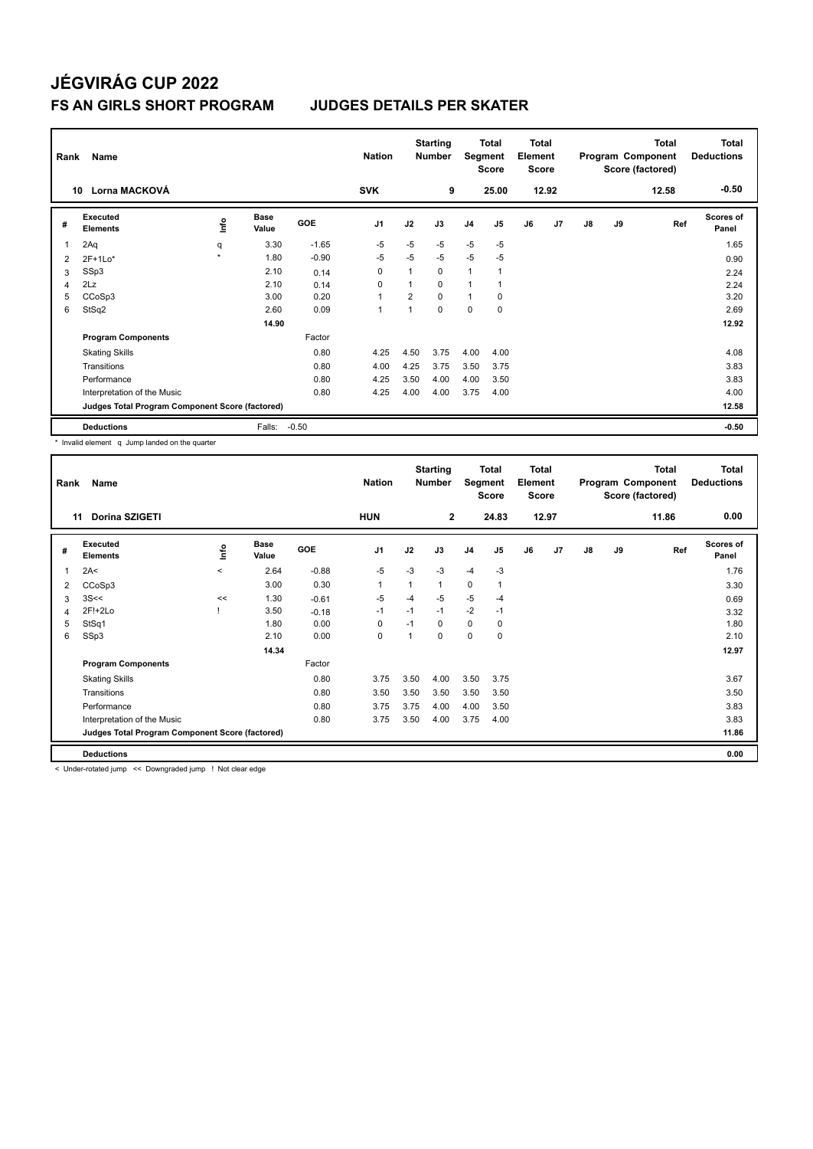| Rank | Name                                            |        |                      |            | <b>Nation</b>  |                | <b>Starting</b><br><b>Number</b> | Segment        | <b>Total</b><br><b>Score</b> | <b>Total</b><br>Element<br><b>Score</b> |       |               |    | <b>Total</b><br>Program Component<br>Score (factored) | <b>Total</b><br><b>Deductions</b> |
|------|-------------------------------------------------|--------|----------------------|------------|----------------|----------------|----------------------------------|----------------|------------------------------|-----------------------------------------|-------|---------------|----|-------------------------------------------------------|-----------------------------------|
|      | Lorna MACKOVÁ<br>10                             |        |                      |            | <b>SVK</b>     |                | 9                                |                | 25.00                        |                                         | 12.92 |               |    | 12.58                                                 | $-0.50$                           |
| #    | Executed<br><b>Elements</b>                     | ١nf٥   | <b>Base</b><br>Value | <b>GOE</b> | J <sub>1</sub> | J2             | J3                               | J <sub>4</sub> | J5                           | J6                                      | J7    | $\mathsf{J}8$ | J9 | Ref                                                   | <b>Scores of</b><br>Panel         |
| 1    | 2Aq                                             | q      | 3.30                 | $-1.65$    | $-5$           | $-5$           | $-5$                             | $-5$           | $-5$                         |                                         |       |               |    |                                                       | 1.65                              |
| 2    | $2F+1Lo*$                                       | $\Phi$ | 1.80                 | $-0.90$    | $-5$           | $-5$           | $-5$                             | $-5$           | $-5$                         |                                         |       |               |    |                                                       | 0.90                              |
| 3    | SSp3                                            |        | 2.10                 | 0.14       | 0              |                | 0                                | $\overline{1}$ |                              |                                         |       |               |    |                                                       | 2.24                              |
| 4    | 2Lz                                             |        | 2.10                 | 0.14       | 0              |                | $\Omega$                         | $\overline{1}$ |                              |                                         |       |               |    |                                                       | 2.24                              |
| 5    | CCoSp3                                          |        | 3.00                 | 0.20       | 1              | $\overline{2}$ | $\Omega$                         | $\mathbf{1}$   | $\mathbf 0$                  |                                         |       |               |    |                                                       | 3.20                              |
| 6    | StSq2                                           |        | 2.60                 | 0.09       | $\mathbf{1}$   |                | $\Omega$                         | $\mathbf 0$    | $\Omega$                     |                                         |       |               |    |                                                       | 2.69                              |
|      |                                                 |        | 14.90                |            |                |                |                                  |                |                              |                                         |       |               |    |                                                       | 12.92                             |
|      | <b>Program Components</b>                       |        |                      | Factor     |                |                |                                  |                |                              |                                         |       |               |    |                                                       |                                   |
|      | <b>Skating Skills</b>                           |        |                      | 0.80       | 4.25           | 4.50           | 3.75                             | 4.00           | 4.00                         |                                         |       |               |    |                                                       | 4.08                              |
|      | Transitions                                     |        |                      | 0.80       | 4.00           | 4.25           | 3.75                             | 3.50           | 3.75                         |                                         |       |               |    |                                                       | 3.83                              |
|      | Performance                                     |        |                      | 0.80       | 4.25           | 3.50           | 4.00                             | 4.00           | 3.50                         |                                         |       |               |    |                                                       | 3.83                              |
|      | Interpretation of the Music                     |        |                      | 0.80       | 4.25           | 4.00           | 4.00                             | 3.75           | 4.00                         |                                         |       |               |    |                                                       | 4.00                              |
|      | Judges Total Program Component Score (factored) |        |                      |            |                |                |                                  |                |                              |                                         |       |               |    |                                                       | 12.58                             |
|      | <b>Deductions</b>                               |        | Falls:               | $-0.50$    |                |                |                                  |                |                              |                                         |       |               |    |                                                       | $-0.50$                           |

\* Invalid element q Jump landed on the quarter

| Rank         | Name                                            |         |                      |            | <b>Nation</b>  |      | <b>Starting</b><br><b>Number</b> | Segment        | <b>Total</b><br><b>Score</b> | Total<br>Element<br><b>Score</b> |                |    |    | <b>Total</b><br>Program Component<br>Score (factored) | <b>Total</b><br><b>Deductions</b> |
|--------------|-------------------------------------------------|---------|----------------------|------------|----------------|------|----------------------------------|----------------|------------------------------|----------------------------------|----------------|----|----|-------------------------------------------------------|-----------------------------------|
| 11           | Dorina SZIGETI                                  |         |                      |            | <b>HUN</b>     |      | $\mathbf{2}$                     |                | 24.83                        |                                  | 12.97          |    |    | 11.86                                                 | 0.00                              |
| #            | Executed<br><b>Elements</b>                     | lnfo    | <b>Base</b><br>Value | <b>GOE</b> | J <sub>1</sub> | J2   | J3                               | J <sub>4</sub> | J <sub>5</sub>               | J6                               | J <sub>7</sub> | J8 | J9 | Ref                                                   | <b>Scores of</b><br>Panel         |
| $\mathbf{1}$ | 2A<                                             | $\prec$ | 2.64                 | $-0.88$    | $-5$           | $-3$ | $-3$                             | $-4$           | $-3$                         |                                  |                |    |    |                                                       | 1.76                              |
| 2            | CCoSp3                                          |         | 3.00                 | 0.30       | 1              |      | $\mathbf{1}$                     | $\mathbf 0$    | $\overline{1}$               |                                  |                |    |    |                                                       | 3.30                              |
| 3            | 3S<<                                            | <<      | 1.30                 | $-0.61$    | -5             | $-4$ | $-5$                             | $-5$           | $-4$                         |                                  |                |    |    |                                                       | 0.69                              |
| 4            | 2F!+2Lo                                         |         | 3.50                 | $-0.18$    | $-1$           | $-1$ | $-1$                             | $-2$           | $-1$                         |                                  |                |    |    |                                                       | 3.32                              |
| 5            | StSq1                                           |         | 1.80                 | 0.00       | 0              | $-1$ | 0                                | $\mathbf 0$    | 0                            |                                  |                |    |    |                                                       | 1.80                              |
| 6            | SSp3                                            |         | 2.10                 | 0.00       | 0              |      | 0                                | 0              | 0                            |                                  |                |    |    |                                                       | 2.10                              |
|              |                                                 |         | 14.34                |            |                |      |                                  |                |                              |                                  |                |    |    |                                                       | 12.97                             |
|              | <b>Program Components</b>                       |         |                      | Factor     |                |      |                                  |                |                              |                                  |                |    |    |                                                       |                                   |
|              | <b>Skating Skills</b>                           |         |                      | 0.80       | 3.75           | 3.50 | 4.00                             | 3.50           | 3.75                         |                                  |                |    |    |                                                       | 3.67                              |
|              | Transitions                                     |         |                      | 0.80       | 3.50           | 3.50 | 3.50                             | 3.50           | 3.50                         |                                  |                |    |    |                                                       | 3.50                              |
|              | Performance                                     |         |                      | 0.80       | 3.75           | 3.75 | 4.00                             | 4.00           | 3.50                         |                                  |                |    |    |                                                       | 3.83                              |
|              | Interpretation of the Music                     |         |                      | 0.80       | 3.75           | 3.50 | 4.00                             | 3.75           | 4.00                         |                                  |                |    |    |                                                       | 3.83                              |
|              | Judges Total Program Component Score (factored) |         |                      |            |                |      |                                  |                |                              |                                  |                |    |    |                                                       | 11.86                             |
|              | <b>Deductions</b>                               |         |                      |            |                |      |                                  |                |                              |                                  |                |    |    |                                                       | 0.00                              |

< Under-rotated jump << Downgraded jump ! Not clear edge